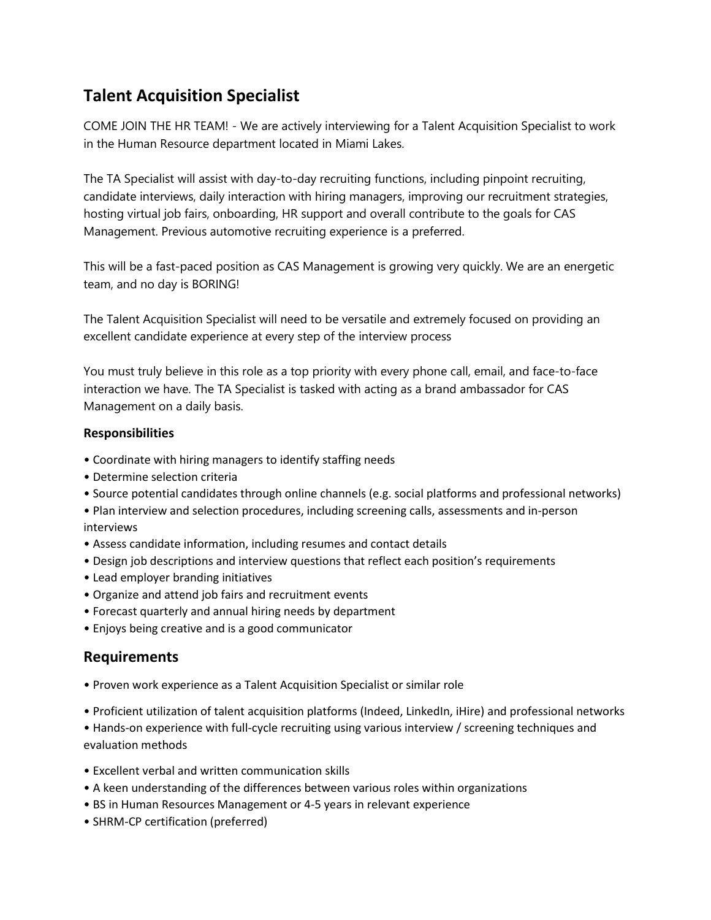## **Talent Acquisition Specialist**

COME JOIN THE HR TEAM! - We are actively interviewing for a Talent Acquisition Specialist to work in the Human Resource department located in Miami Lakes.

The TA Specialist will assist with day-to-day recruiting functions, including pinpoint recruiting, candidate interviews, daily interaction with hiring managers, improving our recruitment strategies, hosting virtual job fairs, onboarding, HR support and overall contribute to the goals for CAS Management. Previous automotive recruiting experience is a preferred.

This will be a fast-paced position as CAS Management is growing very quickly. We are an energetic team, and no day is BORING!

The Talent Acquisition Specialist will need to be versatile and extremely focused on providing an excellent candidate experience at every step of the interview process

You must truly believe in this role as a top priority with every phone call, email, and face-to-face interaction we have. The TA Specialist is tasked with acting as a brand ambassador for CAS Management on a daily basis.

## **Responsibilities**

- Coordinate with hiring managers to identify staffing needs
- Determine selection criteria
- Source potential candidates through online channels (e.g. social platforms and professional networks)
- Plan interview and selection procedures, including screening calls, assessments and in-person interviews
- Assess candidate information, including resumes and contact details
- Design job descriptions and interview questions that reflect each position's requirements
- Lead employer branding initiatives
- Organize and attend job fairs and recruitment events
- Forecast quarterly and annual hiring needs by department
- Enjoys being creative and is a good communicator

## **Requirements**

- Proven work experience as a Talent Acquisition Specialist or similar role
- Proficient utilization of talent acquisition platforms (Indeed, LinkedIn, iHire) and professional networks

• Hands-on experience with full-cycle recruiting using various interview / screening techniques and evaluation methods

- Excellent verbal and written communication skills
- A keen understanding of the differences between various roles within organizations
- BS in Human Resources Management or 4-5 years in relevant experience
- SHRM-CP certification (preferred)